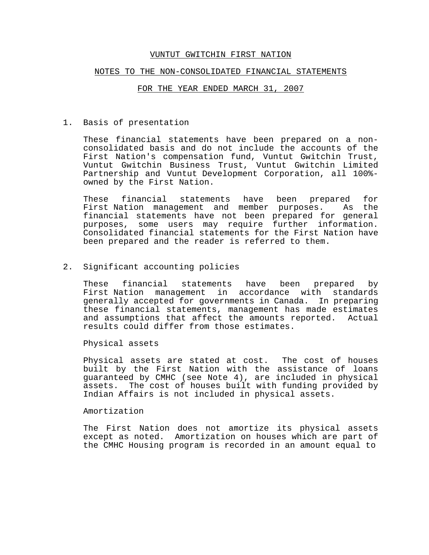#### NOTES TO THE NON-CONSOLIDATED FINANCIAL STATEMENTS

#### FOR THE YEAR ENDED MARCH 31, 2007

1. Basis of presentation

These financial statements have been prepared on a nonconsolidated basis and do not include the accounts of the First Nation's compensation fund, Vuntut Gwitchin Trust, Vuntut Gwitchin Business Trust, Vuntut Gwitchin Limited Partnership and Vuntut Development Corporation, all 100% owned by the First Nation.

These financial statements have been prepared for First Nation management and member purposes. As the financial statements have not been prepared for general purposes, some users may require further information. Consolidated financial statements for the First Nation have been prepared and the reader is referred to them.

2. Significant accounting policies

These financial statements have been prepared by First Nation management in accordance with standards generally accepted for governments in Canada. In preparing these financial statements, management has made estimates and assumptions that affect the amounts reported. Actual results could differ from those estimates.

Physical assets

Physical assets are stated at cost. The cost of houses built by the First Nation with the assistance of loans guaranteed by CMHC (see Note 4), are included in physical assets. The cost of houses built with funding provided by Indian Affairs is not included in physical assets.

Amortization

The First Nation does not amortize its physical assets except as noted. Amortization on houses which are part of the CMHC Housing program is recorded in an amount equal to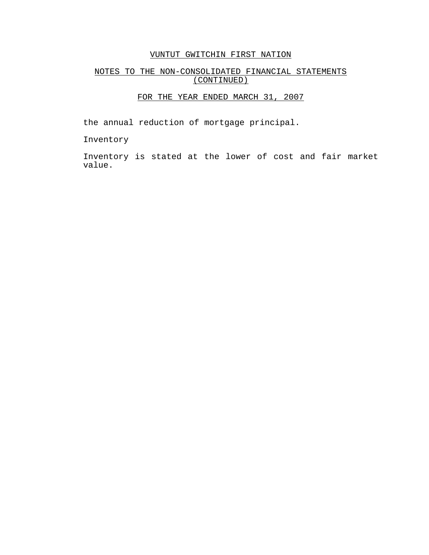# NOTES TO THE NON-CONSOLIDATED FINANCIAL STATEMENTS (CONTINUED)

# FOR THE YEAR ENDED MARCH 31, 2007

the annual reduction of mortgage principal.

Inventory

Inventory is stated at the lower of cost and fair market value.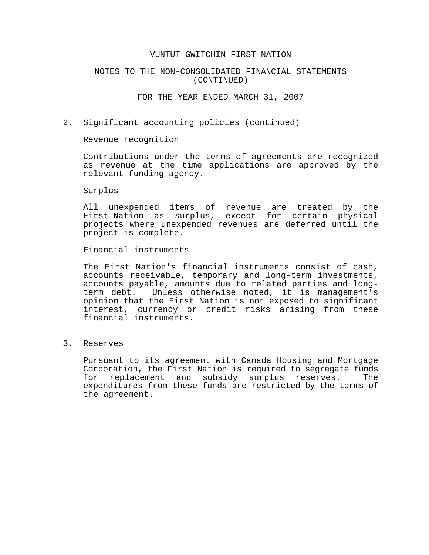## NOTES TO THE NON-CONSOLIDATED FINANCIAL STATEMENTS (CONTINUED)

### FOR THE YEAR ENDED MARCH 31, 2007

2. Significant accounting policies (continued)

Revenue recognition

Contributions under the terms of agreements are recognized as revenue at the time applications are approved by the relevant funding agency.

Surplus

All unexpended items of revenue are treated by the First Nation as surplus, except for certain physical projects where unexpended revenues are deferred until the project is complete.

Financial instruments

The First Nation's financial instruments consist of cash, accounts receivable, temporary and long-term investments, accounts payable, amounts due to related parties and longterm debt. Unless otherwise noted, it is management's opinion that the First Nation is not exposed to significant interest, currency or credit risks arising from these financial instruments.

3. Reserves

Pursuant to its agreement with Canada Housing and Mortgage Corporation, the First Nation is required to segregate funds for replacement and subsidy surplus reserves. The expenditures from these funds are restricted by the terms of the agreement.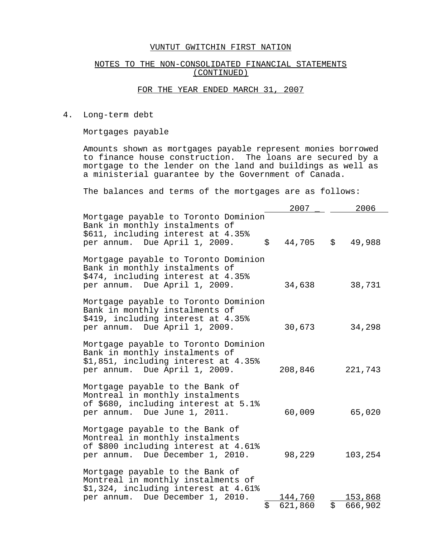## NOTES TO THE NON-CONSOLIDATED FINANCIAL STATEMENTS (CONTINUED)

## FOR THE YEAR ENDED MARCH 31, 2007

4. Long-term debt

Mortgages payable

Amounts shown as mortgages payable represent monies borrowed to finance house construction. The loans are secured by a mortgage to the lender on the land and buildings as well as a ministerial guarantee by the Government of Canada.

The balances and terms of the mortgages are as follows:

|                                                                                                                                                                      | 2007                       | 2006                     |
|----------------------------------------------------------------------------------------------------------------------------------------------------------------------|----------------------------|--------------------------|
| Mortgage payable to Toronto Dominion<br>Bank in monthly instalments of<br>\$611, including interest at 4.35%<br>per annum. Due April 1, 2009.<br>$\ddot{\mathsf{S}}$ | 44,705                     | $\ddot{s}$<br>49,988     |
| Mortgage payable to Toronto Dominion<br>Bank in monthly instalments of<br>\$474, including interest at 4.35%<br>per annum. Due April 1, 2009.                        | 34,638                     | 38,731                   |
| Mortgage payable to Toronto Dominion<br>Bank in monthly instalments of<br>\$419, including interest at 4.35%<br>per annum. Due April 1, 2009.                        | 30,673                     | 34,298                   |
| Mortgage payable to Toronto Dominion<br>Bank in monthly instalments of<br>\$1,851, including interest at 4.35%<br>per annum. Due April 1, 2009.                      | 208,846                    | 221,743                  |
| Mortgage payable to the Bank of<br>Montreal in monthly instalments<br>of \$680, including interest at 5.1%<br>per annum. Due June 1, 2011.                           | 60,009                     | 65,020                   |
| Mortgage payable to the Bank of<br>Montreal in monthly instalments<br>of \$800 including interest at 4.61%<br>per annum. Due December 1, 2010.                       | 98,229                     | 103,254                  |
| Mortgage payable to the Bank of<br>Montreal in monthly instalments of<br>\$1,324, including interest at 4.61%<br>per annum. Due December 1, 2010.<br>\$              | 1 <u>44,760</u><br>621,860 | 153,868<br>\$<br>666,902 |